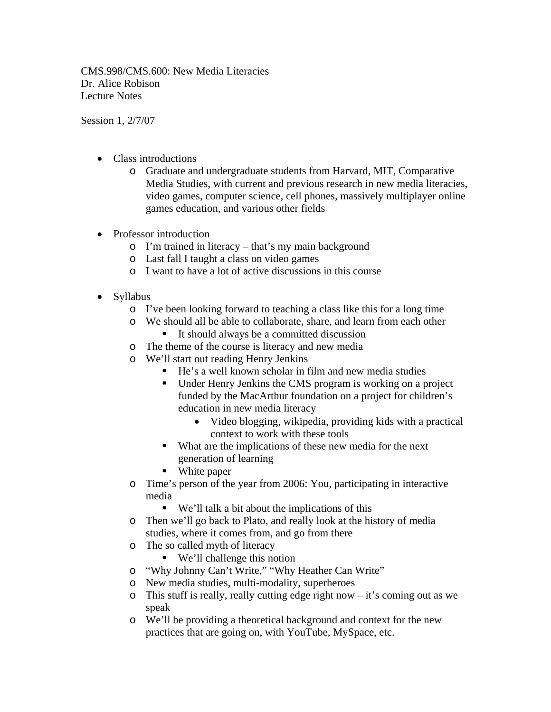CMS.998/CMS.600: New Media Literacies Dr. Alice Robison Lecture Notes

Session 1, 2/7/07

- Class introductions
	- o Graduate and undergraduate students from Harvard, MIT, Comparative Media Studies, with current and previous research in new media literacies, video games, computer science, cell phones, massively multiplayer online games education, and various other fields
- Professor introduction
	- o I'm trained in literacy that's my main background
	- o Last fall I taught a class on video games
	- o I want to have a lot of active discussions in this course
- Syllabus
	- o I've been looking forward to teaching a class like this for a long time
	- o We should all be able to collaborate, share, and learn from each other
		- It should always be a committed discussion
	- o The theme of the course is literacy and new media
	- o We'll start out reading Henry Jenkins
		- He's a well known scholar in film and new media studies
		- Under Henry Jenkins the CMS program is working on a project funded by the MacArthur foundation on a project for children's education in new media literacy
			- Video blogging, wikipedia, providing kids with a practical context to work with these tools
		- What are the implications of these new media for the next generation of learning
		- **White paper**
	- o Time's person of the year from 2006: You, participating in interactive media
		- We'll talk a bit about the implications of this
	- o Then we'll go back to Plato, and really look at the history of media studies, where it comes from, and go from there
	- o The so called myth of literacy
		- We'll challenge this notion
	- o "Why Johnny Can't Write," "Why Heather Can Write"
	- o New media studies, multi-modality, superheroes
	- o This stuff is really, really cutting edge right now it's coming out as we speak
	- o We'll be providing a theoretical background and context for the new practices that are going on, with YouTube, MySpace, etc.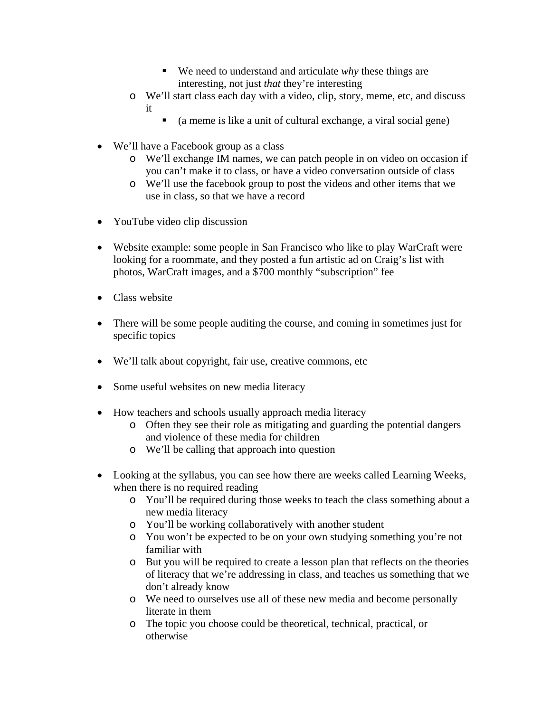- We need to understand and articulate *why* these things are interesting, not just *that* they're interesting
- o We'll start class each day with a video, clip, story, meme, etc, and discuss it
	- $\blacksquare$  (a meme is like a unit of cultural exchange, a viral social gene)
- We'll have a Facebook group as a class
	- o We'll exchange IM names, we can patch people in on video on occasion if you can't make it to class, or have a video conversation outside of class
	- o We'll use the facebook group to post the videos and other items that we use in class, so that we have a record
- YouTube video clip discussion
- Website example: some people in San Francisco who like to play WarCraft were looking for a roommate, and they posted a fun artistic ad on Craig's list with photos, WarCraft images, and a \$700 monthly "subscription" fee
- Class website
- There will be some people auditing the course, and coming in sometimes just for specific topics
- We'll talk about copyright, fair use, creative commons, etc
- Some useful websites on new media literacy
- How teachers and schools usually approach media literacy
	- o Often they see their role as mitigating and guarding the potential dangers and violence of these media for children
	- o We'll be calling that approach into question
- Looking at the syllabus, you can see how there are weeks called Learning Weeks, when there is no required reading
	- o You'll be required during those weeks to teach the class something about a new media literacy
	- o You'll be working collaboratively with another student
	- o You won't be expected to be on your own studying something you're not familiar with
	- o But you will be required to create a lesson plan that reflects on the theories of literacy that we're addressing in class, and teaches us something that we don't already know
	- o We need to ourselves use all of these new media and become personally literate in them
	- o The topic you choose could be theoretical, technical, practical, or otherwise